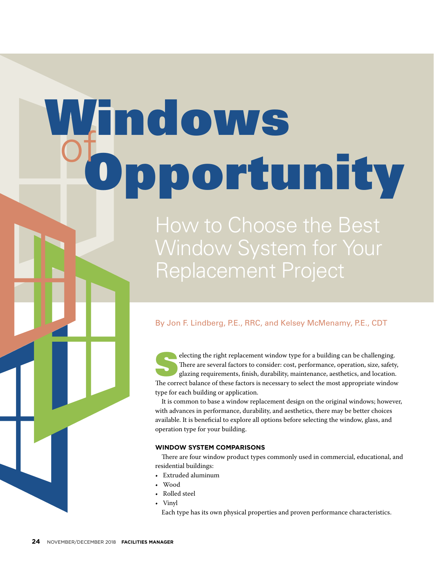# Windows portunity

How to Choose the Best Window System for Your Replacement Project

# By Jon F. Lindberg, P.E., RRC, and Kelsey McMenamy, P.E., CDT

electing the right replacement window type for a building can be challenging.<br>There are several factors to consider: cost, performance, operation, size, safety<br>glazing requirements, finish, durability, maintenance, aesthet There are several factors to consider: cost, performance, operation, size, safety, glazing requirements, finish, durability, maintenance, aesthetics, and location. The correct balance of these factors is necessary to select the most appropriate window type for each building or application.

It is common to base a window replacement design on the original windows; however, with advances in performance, durability, and aesthetics, there may be better choices available. It is beneficial to explore all options before selecting the window, glass, and operation type for your building.

# **WINDOW SYSTEM COMPARISONS**

There are four window product types commonly used in commercial, educational, and residential buildings:

- Extruded aluminum
- Wood
- Rolled steel
- Vinyl
	- Each type has its own physical properties and proven performance characteristics.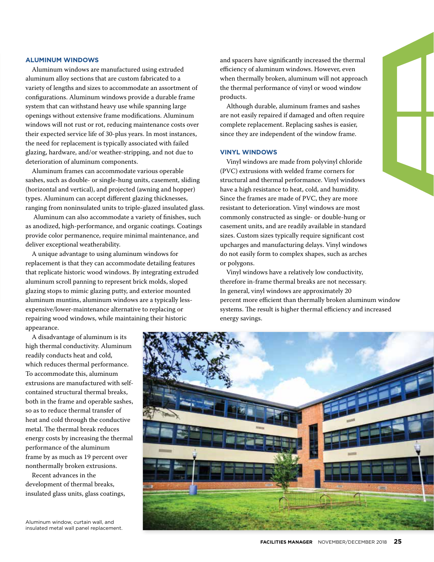# **ALUMINUM WINDOWS**

Aluminum windows are manufactured using extruded aluminum alloy sections that are custom fabricated to a variety of lengths and sizes to accommodate an assortment of configurations. Aluminum windows provide a durable frame system that can withstand heavy use while spanning large openings without extensive frame modifications. Aluminum windows will not rust or rot, reducing maintenance costs over their expected service life of 30-plus years. In most instances, the need for replacement is typically associated with failed glazing, hardware, and/or weather-stripping, and not due to deterioration of aluminum components.

Aluminum frames can accommodate various operable sashes, such as double- or single-hung units, casement, sliding (horizontal and vertical), and projected (awning and hopper) types. Aluminum can accept different glazing thicknesses, ranging from noninsulated units to triple-glazed insulated glass.

 Aluminum can also accommodate a variety of finishes, such as anodized, high-performance, and organic coatings. Coatings provide color permanence, require minimal maintenance, and deliver exceptional weatherability.

A unique advantage to using aluminum windows for replacement is that they can accommodate detailing features that replicate historic wood windows. By integrating extruded aluminum scroll panning to represent brick molds, sloped glazing stops to mimic glazing putty, and exterior mounted aluminum muntins, aluminum windows are a typically lessexpensive/lower-maintenance alternative to replacing or repairing wood windows, while maintaining their historic appearance.

A disadvantage of aluminum is its high thermal conductivity. Aluminum readily conducts heat and cold, which reduces thermal performance. To accommodate this, aluminum extrusions are manufactured with selfcontained structural thermal breaks, both in the frame and operable sashes, so as to reduce thermal transfer of heat and cold through the conductive metal. The thermal break reduces energy costs by increasing the thermal performance of the aluminum frame by as much as 19 percent over nonthermally broken extrusions.

Recent advances in the development of thermal breaks, insulated glass units, glass coatings,

Aluminum window, curtain wall, and insulated metal wall panel replacement. and spacers have significantly increased the thermal efficiency of aluminum windows. However, even when thermally broken, aluminum will not approach the thermal performance of vinyl or wood window products.

Although durable, aluminum frames and sashes are not easily repaired if damaged and often require complete replacement. Replacing sashes is easier, since they are independent of the window frame.

### **VINYL WINDOWS**

Vinyl windows are made from polyvinyl chloride (PVC) extrusions with welded frame corners for structural and thermal performance. Vinyl windows have a high resistance to heat, cold, and humidity. Since the frames are made of PVC, they are more resistant to deterioration. Vinyl windows are most commonly constructed as single- or double-hung or casement units, and are readily available in standard sizes. Custom sizes typically require significant cost upcharges and manufacturing delays. Vinyl windows do not easily form to complex shapes, such as arches or polygons.

Vinyl windows have a relatively low conductivity, therefore in-frame thermal breaks are not necessary. In general, vinyl windows are approximately 20 percent more efficient than thermally broken aluminum window systems. The result is higher thermal efficiency and increased energy savings.

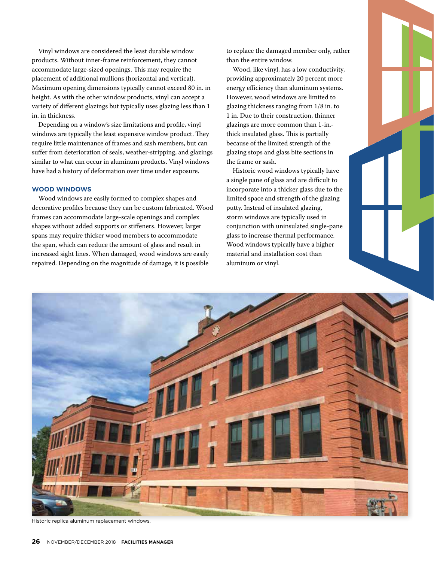Vinyl windows are considered the least durable window products. Without inner-frame reinforcement, they cannot accommodate large-sized openings. This may require the placement of additional mullions (horizontal and vertical). Maximum opening dimensions typically cannot exceed 80 in. in height. As with the other window products, vinyl can accept a variety of different glazings but typically uses glazing less than 1 in. in thickness.

Depending on a window's size limitations and profile, vinyl windows are typically the least expensive window product. They require little maintenance of frames and sash members, but can suffer from deterioration of seals, weather-stripping, and glazings similar to what can occur in aluminum products. Vinyl windows have had a history of deformation over time under exposure.

# **WOOD WINDOWS**

Wood windows are easily formed to complex shapes and decorative profiles because they can be custom fabricated. Wood frames can accommodate large-scale openings and complex shapes without added supports or stiffeners. However, larger spans may require thicker wood members to accommodate the span, which can reduce the amount of glass and result in increased sight lines. When damaged, wood windows are easily repaired. Depending on the magnitude of damage, it is possible

to replace the damaged member only, rather than the entire window.

Wood, like vinyl, has a low conductivity, providing approximately 20 percent more energy efficiency than aluminum systems. However, wood windows are limited to glazing thickness ranging from 1/8 in. to 1 in. Due to their construction, thinner glazings are more common than 1-in. thick insulated glass. This is partially because of the limited strength of the glazing stops and glass bite sections in the frame or sash.

Historic wood windows typically have a single pane of glass and are difficult to incorporate into a thicker glass due to the limited space and strength of the glazing putty. Instead of insulated glazing, storm windows are typically used in conjunction with uninsulated single-pane glass to increase thermal performance. Wood windows typically have a higher material and installation cost than aluminum or vinyl.



Historic replica aluminum replacement windows.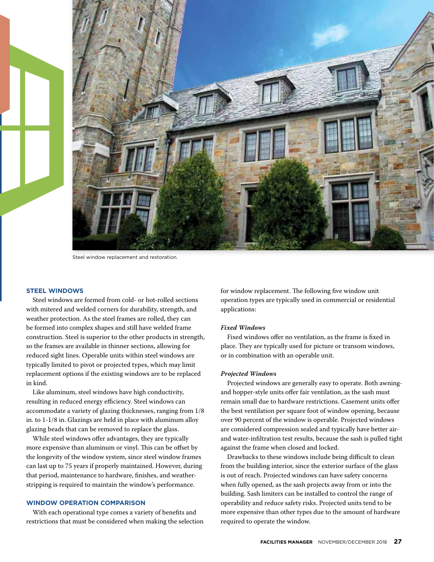

Steel window replacement and restoration.

# **STEEL WINDOWS**

Steel windows are formed from cold- or hot-rolled sections with mitered and welded corners for durability, strength, and weather protection. As the steel frames are rolled, they can be formed into complex shapes and still have welded frame construction. Steel is superior to the other products in strength, so the frames are available in thinner sections, allowing for reduced sight lines. Operable units within steel windows are typically limited to pivot or projected types, which may limit replacement options if the existing windows are to be replaced in kind.

Like aluminum, steel windows have high conductivity, resulting in reduced energy efficiency. Steel windows can accommodate a variety of glazing thicknesses, ranging from 1/8 in. to 1-1/8 in. Glazings are held in place with aluminum alloy glazing beads that can be removed to replace the glass.

While steel windows offer advantages, they are typically more expensive than aluminum or vinyl. This can be offset by the longevity of the window system, since steel window frames can last up to 75 years if properly maintained. However, during that period, maintenance to hardware, finishes, and weatherstripping is required to maintain the window's performance.

#### **WINDOW OPERATION COMPARISON**

With each operational type comes a variety of benefits and restrictions that must be considered when making the selection for window replacement. The following five window unit operation types are typically used in commercial or residential applications:

#### *Fixed Windows*

Fixed windows offer no ventilation, as the frame is fixed in place. They are typically used for picture or transom windows, or in combination with an operable unit.

# *Projected Windows*

Projected windows are generally easy to operate. Both awningand hopper-style units offer fair ventilation, as the sash must remain small due to hardware restrictions. Casement units offer the best ventilation per square foot of window opening, because over 90 percent of the window is operable. Projected windows are considered compression sealed and typically have better airand water-infiltration test results, because the sash is pulled tight against the frame when closed and locked.

Drawbacks to these windows include being difficult to clean from the building interior, since the exterior surface of the glass is out of reach. Projected windows can have safety concerns when fully opened, as the sash projects away from or into the building. Sash limiters can be installed to control the range of operability and reduce safety risks. Projected units tend to be more expensive than other types due to the amount of hardware required to operate the window.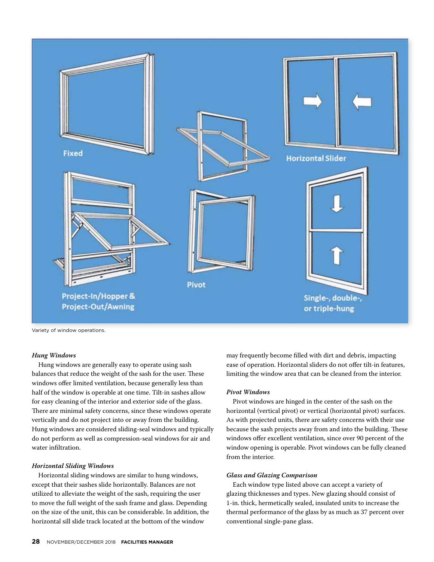

Variety of window operations.

# *Hung Windows*

Hung windows are generally easy to operate using sash balances that reduce the weight of the sash for the user. These windows offer limited ventilation, because generally less than half of the window is operable at one time. Tilt-in sashes allow for easy cleaning of the interior and exterior side of the glass. There are minimal safety concerns, since these windows operate vertically and do not project into or away from the building. Hung windows are considered sliding-seal windows and typically do not perform as well as compression-seal windows for air and water infiltration.

#### *Horizontal Sliding Windows*

Horizontal sliding windows are similar to hung windows, except that their sashes slide horizontally. Balances are not utilized to alleviate the weight of the sash, requiring the user to move the full weight of the sash frame and glass. Depending on the size of the unit, this can be considerable. In addition, the horizontal sill slide track located at the bottom of the window

may frequently become filled with dirt and debris, impacting ease of operation. Horizontal sliders do not offer tilt-in features, limiting the window area that can be cleaned from the interior.

#### *Pivot Windows*

Pivot windows are hinged in the center of the sash on the horizontal (vertical pivot) or vertical (horizontal pivot) surfaces. As with projected units, there are safety concerns with their use because the sash projects away from and into the building. These windows offer excellent ventilation, since over 90 percent of the window opening is operable. Pivot windows can be fully cleaned from the interior.

#### *Glass and Glazing Comparison*

Each window type listed above can accept a variety of glazing thicknesses and types. New glazing should consist of 1-in. thick, hermetically sealed, insulated units to increase the thermal performance of the glass by as much as 37 percent over conventional single-pane glass.